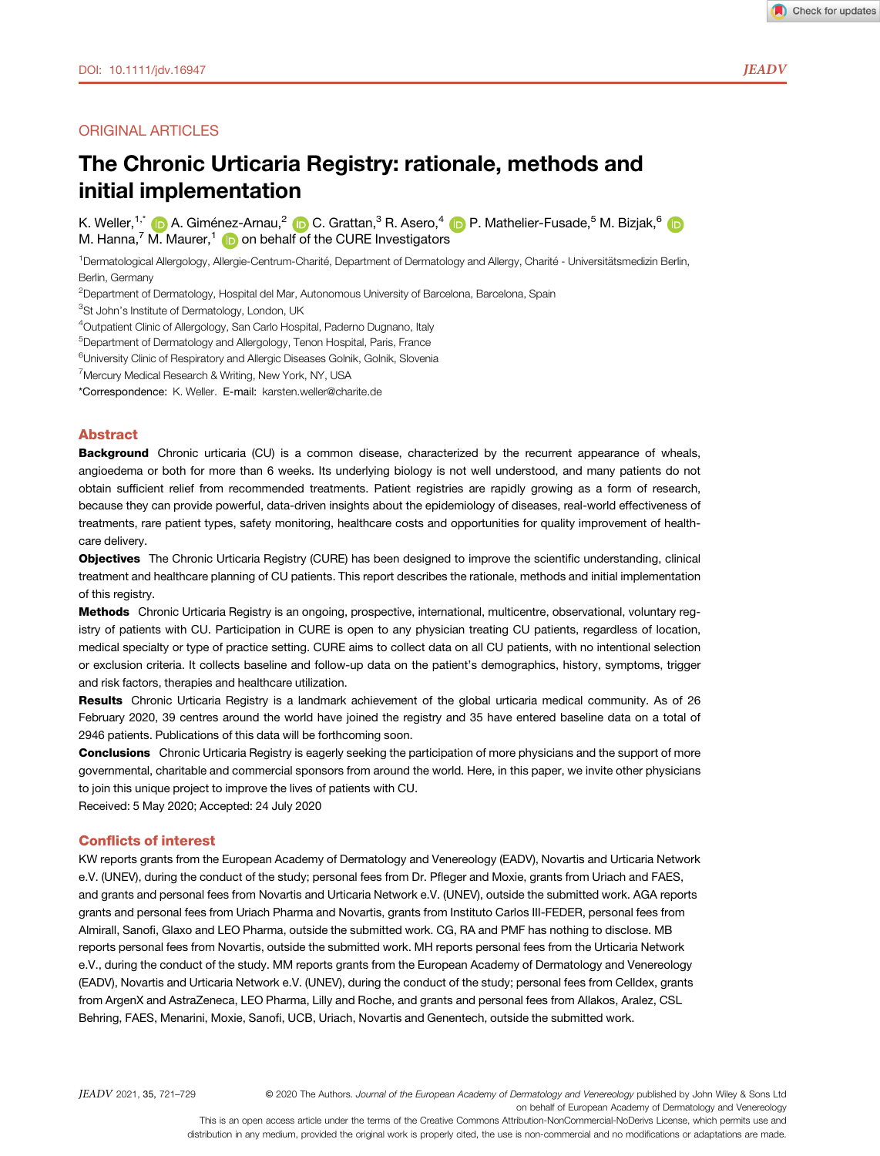# ORIGINAL ARTICLES

# The Chronic Urticaria Registry: rationale, methods and initial implementation

K. Weller,<sup>1,\*</sup> **D** A. Giménez-Arnau,  $2$  D C. Grattan,  $3$  R. Asero,  $4$  D P. Mathelier-Fusade,  $5$  M. Bizjak,  $6$  D M. Hanna,<sup>7</sup> M. Maurer,<sup>1</sup> in on behalf of the CURE Investigators

<sup>1</sup>Dermatological Allergology, Allergie-Centrum-Charité, Department of Dermatology and Allergy, Charité - Universitätsmedizin Berlin, Berlin, Germany

<sup>2</sup>Department of Dermatology, Hospital del Mar, Autonomous University of Barcelona, Barcelona, Spain

<sup>3</sup>St John's Institute of Dermatology, London, UK

4 Outpatient Clinic of Allergology, San Carlo Hospital, Paderno Dugnano, Italy

<sup>5</sup>Department of Dermatology and Allergology, Tenon Hospital, Paris, France

<sup>6</sup>University Clinic of Respiratory and Allergic Diseases Golnik, Golnik, Slovenia

<sup>7</sup>Mercury Medical Research & Writing, New York, NY, USA

\*Correspondence: K. Weller. E-mail: karsten.weller@charite.de

## Abstract

**Background** Chronic urticaria (CU) is a common disease, characterized by the recurrent appearance of wheals, angioedema or both for more than 6 weeks. Its underlying biology is not well understood, and many patients do not obtain sufficient relief from recommended treatments. Patient registries are rapidly growing as a form of research, because they can provide powerful, data-driven insights about the epidemiology of diseases, real-world effectiveness of treatments, rare patient types, safety monitoring, healthcare costs and opportunities for quality improvement of healthcare delivery.

Objectives The Chronic Urticaria Registry (CURE) has been designed to improve the scientific understanding, clinical treatment and healthcare planning of CU patients. This report describes the rationale, methods and initial implementation of this registry.

Methods Chronic Urticaria Registry is an ongoing, prospective, international, multicentre, observational, voluntary registry of patients with CU. Participation in CURE is open to any physician treating CU patients, regardless of location, medical specialty or type of practice setting. CURE aims to collect data on all CU patients, with no intentional selection or exclusion criteria. It collects baseline and follow-up data on the patient's demographics, history, symptoms, trigger and risk factors, therapies and healthcare utilization.

Results Chronic Urticaria Registry is a landmark achievement of the global urticaria medical community. As of 26 February 2020, 39 centres around the world have joined the registry and 35 have entered baseline data on a total of 2946 patients. Publications of this data will be forthcoming soon.

Conclusions Chronic Urticaria Registry is eagerly seeking the participation of more physicians and the support of more governmental, charitable and commercial sponsors from around the world. Here, in this paper, we invite other physicians to join this unique project to improve the lives of patients with CU.

Received: 5 May 2020; Accepted: 24 July 2020

## Conflicts of interest

KW reports grants from the European Academy of Dermatology and Venereology (EADV), Novartis and Urticaria Network e.V. (UNEV), during the conduct of the study; personal fees from Dr. Pfleger and Moxie, grants from Uriach and FAES, and grants and personal fees from Novartis and Urticaria Network e.V. (UNEV), outside the submitted work. AGA reports grants and personal fees from Uriach Pharma and Novartis, grants from Instituto Carlos III-FEDER, personal fees from Almirall, Sanofi, Glaxo and LEO Pharma, outside the submitted work. CG, RA and PMF has nothing to disclose. MB reports personal fees from Novartis, outside the submitted work. MH reports personal fees from the Urticaria Network e.V., during the conduct of the study. MM reports grants from the European Academy of Dermatology and Venereology (EADV), Novartis and Urticaria Network e.V. (UNEV), during the conduct of the study; personal fees from Celldex, grants from ArgenX and AstraZeneca, LEO Pharma, Lilly and Roche, and grants and personal fees from Allakos, Aralez, CSL Behring, FAES, Menarini, Moxie, Sanofi, UCB, Uriach, Novartis and Genentech, outside the submitted work.

JEADV 2021, 35, 721–729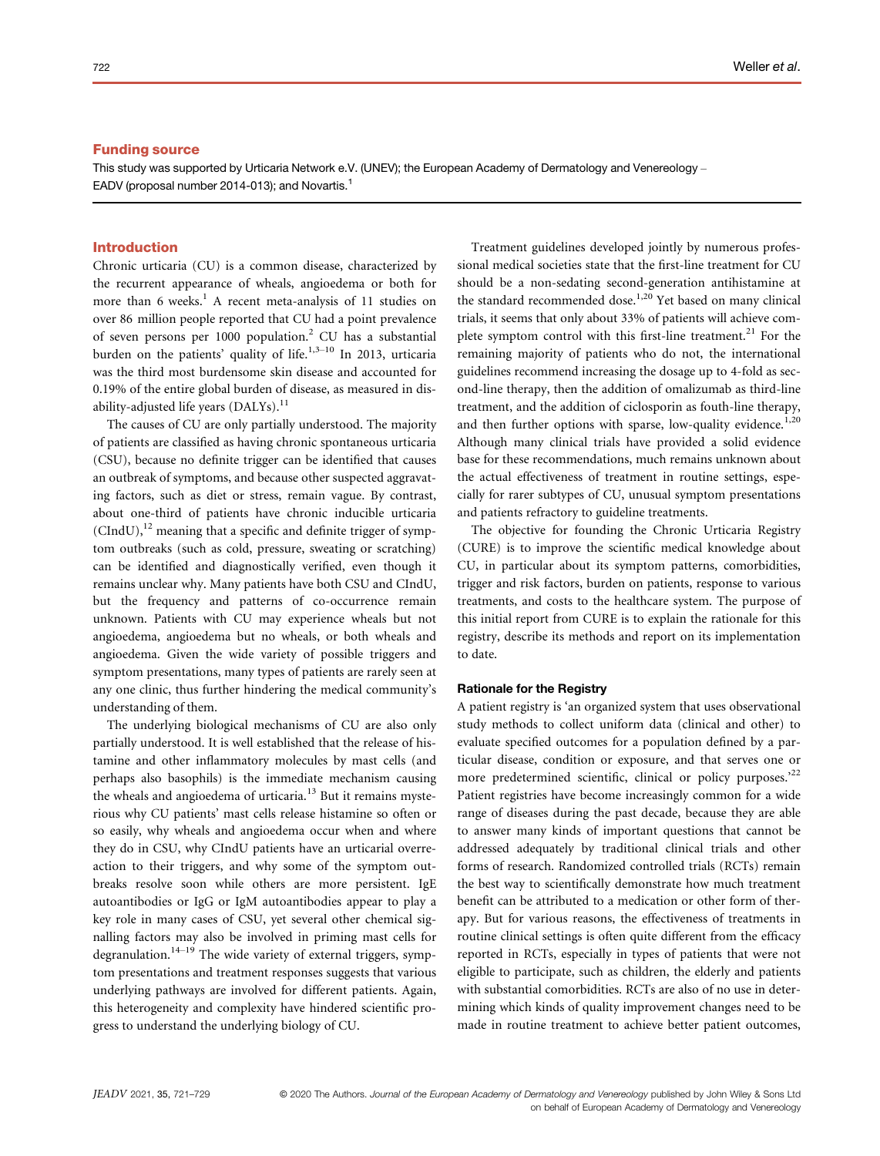# Funding source

This study was supported by Urticaria Network e.V. (UNEV); the European Academy of Dermatology and Venereology -EADV (proposal number 2014-013); and Novartis.1

# Introduction

Chronic urticaria (CU) is a common disease, characterized by the recurrent appearance of wheals, angioedema or both for more than 6 weeks.<sup>1</sup> A recent meta-analysis of 11 studies on over 86 million people reported that CU had a point prevalence of seven persons per 1000 population.<sup>2</sup> CU has a substantial burden on the patients' quality of life.<sup>1,3–10</sup> In 2013, urticaria was the third most burdensome skin disease and accounted for 0.19% of the entire global burden of disease, as measured in disability-adjusted life years (DALYs).<sup>11</sup>

The causes of CU are only partially understood. The majority of patients are classified as having chronic spontaneous urticaria (CSU), because no definite trigger can be identified that causes an outbreak of symptoms, and because other suspected aggravating factors, such as diet or stress, remain vague. By contrast, about one-third of patients have chronic inducible urticaria  $(CHdU)$ ,<sup>12</sup> meaning that a specific and definite trigger of symptom outbreaks (such as cold, pressure, sweating or scratching) can be identified and diagnostically verified, even though it remains unclear why. Many patients have both CSU and CIndU, but the frequency and patterns of co-occurrence remain unknown. Patients with CU may experience wheals but not angioedema, angioedema but no wheals, or both wheals and angioedema. Given the wide variety of possible triggers and symptom presentations, many types of patients are rarely seen at any one clinic, thus further hindering the medical community's understanding of them.

The underlying biological mechanisms of CU are also only partially understood. It is well established that the release of histamine and other inflammatory molecules by mast cells (and perhaps also basophils) is the immediate mechanism causing the wheals and angioedema of urticaria. $13$  But it remains mysterious why CU patients' mast cells release histamine so often or so easily, why wheals and angioedema occur when and where they do in CSU, why CIndU patients have an urticarial overreaction to their triggers, and why some of the symptom outbreaks resolve soon while others are more persistent. IgE autoantibodies or IgG or IgM autoantibodies appear to play a key role in many cases of CSU, yet several other chemical signalling factors may also be involved in priming mast cells for degranulation.<sup>14-19</sup> The wide variety of external triggers, symptom presentations and treatment responses suggests that various underlying pathways are involved for different patients. Again, this heterogeneity and complexity have hindered scientific progress to understand the underlying biology of CU.

Treatment guidelines developed jointly by numerous professional medical societies state that the first-line treatment for CU should be a non-sedating second-generation antihistamine at the standard recommended dose.<sup>1,20</sup> Yet based on many clinical trials, it seems that only about 33% of patients will achieve complete symptom control with this first-line treatment.<sup>21</sup> For the remaining majority of patients who do not, the international guidelines recommend increasing the dosage up to 4-fold as second-line therapy, then the addition of omalizumab as third-line treatment, and the addition of ciclosporin as fouth-line therapy, and then further options with sparse, low-quality evidence.<sup>1,20</sup> Although many clinical trials have provided a solid evidence base for these recommendations, much remains unknown about the actual effectiveness of treatment in routine settings, especially for rarer subtypes of CU, unusual symptom presentations and patients refractory to guideline treatments.

The objective for founding the Chronic Urticaria Registry (CURE) is to improve the scientific medical knowledge about CU, in particular about its symptom patterns, comorbidities, trigger and risk factors, burden on patients, response to various treatments, and costs to the healthcare system. The purpose of this initial report from CURE is to explain the rationale for this registry, describe its methods and report on its implementation to date.

## Rationale for the Registry

A patient registry is 'an organized system that uses observational study methods to collect uniform data (clinical and other) to evaluate specified outcomes for a population defined by a particular disease, condition or exposure, and that serves one or more predetermined scientific, clinical or policy purposes.'<sup>22</sup> Patient registries have become increasingly common for a wide range of diseases during the past decade, because they are able to answer many kinds of important questions that cannot be addressed adequately by traditional clinical trials and other forms of research. Randomized controlled trials (RCTs) remain the best way to scientifically demonstrate how much treatment benefit can be attributed to a medication or other form of therapy. But for various reasons, the effectiveness of treatments in routine clinical settings is often quite different from the efficacy reported in RCTs, especially in types of patients that were not eligible to participate, such as children, the elderly and patients with substantial comorbidities. RCTs are also of no use in determining which kinds of quality improvement changes need to be made in routine treatment to achieve better patient outcomes,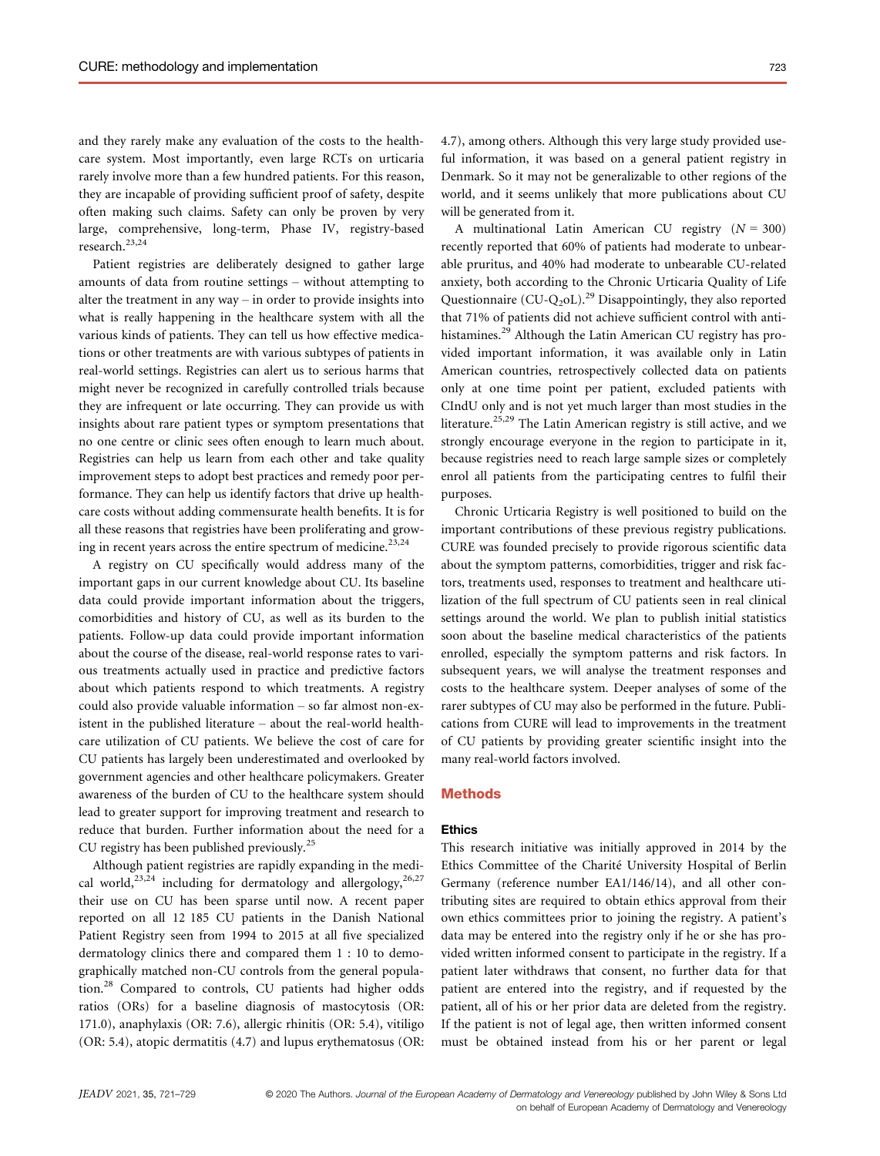and they rarely make any evaluation of the costs to the healthcare system. Most importantly, even large RCTs on urticaria rarely involve more than a few hundred patients. For this reason, they are incapable of providing sufficient proof of safety, despite often making such claims. Safety can only be proven by very large, comprehensive, long-term, Phase IV, registry-based research.23,24

Patient registries are deliberately designed to gather large amounts of data from routine settings – without attempting to alter the treatment in any way – in order to provide insights into what is really happening in the healthcare system with all the various kinds of patients. They can tell us how effective medications or other treatments are with various subtypes of patients in real-world settings. Registries can alert us to serious harms that might never be recognized in carefully controlled trials because they are infrequent or late occurring. They can provide us with insights about rare patient types or symptom presentations that no one centre or clinic sees often enough to learn much about. Registries can help us learn from each other and take quality improvement steps to adopt best practices and remedy poor performance. They can help us identify factors that drive up healthcare costs without adding commensurate health benefits. It is for all these reasons that registries have been proliferating and growing in recent years across the entire spectrum of medicine.<sup>23,24</sup>

A registry on CU specifically would address many of the important gaps in our current knowledge about CU. Its baseline data could provide important information about the triggers, comorbidities and history of CU, as well as its burden to the patients. Follow-up data could provide important information about the course of the disease, real-world response rates to various treatments actually used in practice and predictive factors about which patients respond to which treatments. A registry could also provide valuable information – so far almost non-existent in the published literature – about the real-world healthcare utilization of CU patients. We believe the cost of care for CU patients has largely been underestimated and overlooked by government agencies and other healthcare policymakers. Greater awareness of the burden of CU to the healthcare system should lead to greater support for improving treatment and research to reduce that burden. Further information about the need for a CU registry has been published previously.<sup>25</sup>

Although patient registries are rapidly expanding in the medical world,<sup>23,24</sup> including for dermatology and allergology,<sup>26,27</sup> their use on CU has been sparse until now. A recent paper reported on all 12 185 CU patients in the Danish National Patient Registry seen from 1994 to 2015 at all five specialized dermatology clinics there and compared them 1 : 10 to demographically matched non-CU controls from the general population.<sup>28</sup> Compared to controls, CU patients had higher odds ratios (ORs) for a baseline diagnosis of mastocytosis (OR: 171.0), anaphylaxis (OR: 7.6), allergic rhinitis (OR: 5.4), vitiligo (OR: 5.4), atopic dermatitis (4.7) and lupus erythematosus (OR: 4.7), among others. Although this very large study provided useful information, it was based on a general patient registry in Denmark. So it may not be generalizable to other regions of the world, and it seems unlikely that more publications about CU will be generated from it.

A multinational Latin American CU registry  $(N = 300)$ recently reported that 60% of patients had moderate to unbearable pruritus, and 40% had moderate to unbearable CU-related anxiety, both according to the Chronic Urticaria Quality of Life Questionnaire (CU-Q<sub>2</sub>oL).<sup>29</sup> Disappointingly, they also reported that 71% of patients did not achieve sufficient control with antihistamines.<sup>29</sup> Although the Latin American CU registry has provided important information, it was available only in Latin American countries, retrospectively collected data on patients only at one time point per patient, excluded patients with CIndU only and is not yet much larger than most studies in the literature.<sup>25,29</sup> The Latin American registry is still active, and we strongly encourage everyone in the region to participate in it, because registries need to reach large sample sizes or completely enrol all patients from the participating centres to fulfil their purposes.

Chronic Urticaria Registry is well positioned to build on the important contributions of these previous registry publications. CURE was founded precisely to provide rigorous scientific data about the symptom patterns, comorbidities, trigger and risk factors, treatments used, responses to treatment and healthcare utilization of the full spectrum of CU patients seen in real clinical settings around the world. We plan to publish initial statistics soon about the baseline medical characteristics of the patients enrolled, especially the symptom patterns and risk factors. In subsequent years, we will analyse the treatment responses and costs to the healthcare system. Deeper analyses of some of the rarer subtypes of CU may also be performed in the future. Publications from CURE will lead to improvements in the treatment of CU patients by providing greater scientific insight into the many real-world factors involved.

## Methods

# Ethics

This research initiative was initially approved in 2014 by the Ethics Committee of the Charite University Hospital of Berlin Germany (reference number EA1/146/14), and all other contributing sites are required to obtain ethics approval from their own ethics committees prior to joining the registry. A patient's data may be entered into the registry only if he or she has provided written informed consent to participate in the registry. If a patient later withdraws that consent, no further data for that patient are entered into the registry, and if requested by the patient, all of his or her prior data are deleted from the registry. If the patient is not of legal age, then written informed consent must be obtained instead from his or her parent or legal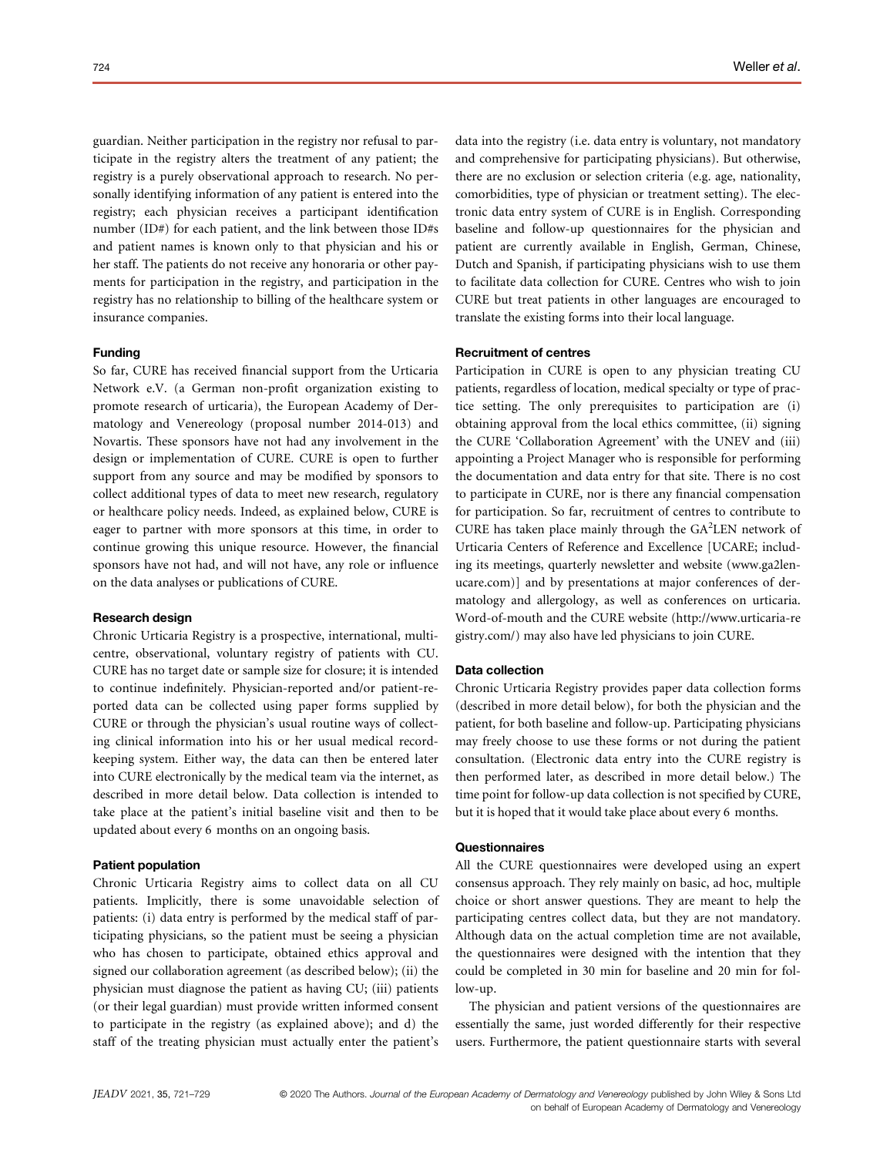guardian. Neither participation in the registry nor refusal to participate in the registry alters the treatment of any patient; the registry is a purely observational approach to research. No personally identifying information of any patient is entered into the registry; each physician receives a participant identification number (ID#) for each patient, and the link between those ID#s and patient names is known only to that physician and his or her staff. The patients do not receive any honoraria or other payments for participation in the registry, and participation in the registry has no relationship to billing of the healthcare system or insurance companies.

## Funding

So far, CURE has received financial support from the Urticaria Network e.V. (a German non-profit organization existing to promote research of urticaria), the European Academy of Dermatology and Venereology (proposal number 2014-013) and Novartis. These sponsors have not had any involvement in the design or implementation of CURE. CURE is open to further support from any source and may be modified by sponsors to collect additional types of data to meet new research, regulatory or healthcare policy needs. Indeed, as explained below, CURE is eager to partner with more sponsors at this time, in order to continue growing this unique resource. However, the financial sponsors have not had, and will not have, any role or influence on the data analyses or publications of CURE.

#### Research design

Chronic Urticaria Registry is a prospective, international, multicentre, observational, voluntary registry of patients with CU. CURE has no target date or sample size for closure; it is intended to continue indefinitely. Physician-reported and/or patient-reported data can be collected using paper forms supplied by CURE or through the physician's usual routine ways of collecting clinical information into his or her usual medical recordkeeping system. Either way, the data can then be entered later into CURE electronically by the medical team via the internet, as described in more detail below. Data collection is intended to take place at the patient's initial baseline visit and then to be updated about every 6 months on an ongoing basis.

## Patient population

Chronic Urticaria Registry aims to collect data on all CU patients. Implicitly, there is some unavoidable selection of patients: (i) data entry is performed by the medical staff of participating physicians, so the patient must be seeing a physician who has chosen to participate, obtained ethics approval and signed our collaboration agreement (as described below); (ii) the physician must diagnose the patient as having CU; (iii) patients (or their legal guardian) must provide written informed consent to participate in the registry (as explained above); and d) the staff of the treating physician must actually enter the patient's data into the registry (i.e. data entry is voluntary, not mandatory and comprehensive for participating physicians). But otherwise, there are no exclusion or selection criteria (e.g. age, nationality, comorbidities, type of physician or treatment setting). The electronic data entry system of CURE is in English. Corresponding baseline and follow-up questionnaires for the physician and patient are currently available in English, German, Chinese, Dutch and Spanish, if participating physicians wish to use them to facilitate data collection for CURE. Centres who wish to join CURE but treat patients in other languages are encouraged to translate the existing forms into their local language.

# Recruitment of centres

Participation in CURE is open to any physician treating CU patients, regardless of location, medical specialty or type of practice setting. The only prerequisites to participation are (i) obtaining approval from the local ethics committee, (ii) signing the CURE 'Collaboration Agreement' with the UNEV and (iii) appointing a Project Manager who is responsible for performing the documentation and data entry for that site. There is no cost to participate in CURE, nor is there any financial compensation for participation. So far, recruitment of centres to contribute to CURE has taken place mainly through the  $GA^2LEN$  network of Urticaria Centers of Reference and Excellence [UCARE; including its meetings, quarterly newsletter and website (www.ga2lenucare.com)] and by presentations at major conferences of dermatology and allergology, as well as conferences on urticaria. Word-of-mouth and the CURE website (http://www.urticaria-re gistry.com/) may also have led physicians to join CURE.

#### Data collection

Chronic Urticaria Registry provides paper data collection forms (described in more detail below), for both the physician and the patient, for both baseline and follow-up. Participating physicians may freely choose to use these forms or not during the patient consultation. (Electronic data entry into the CURE registry is then performed later, as described in more detail below.) The time point for follow-up data collection is not specified by CURE, but it is hoped that it would take place about every 6 months.

#### **Questionnaires**

All the CURE questionnaires were developed using an expert consensus approach. They rely mainly on basic, ad hoc, multiple choice or short answer questions. They are meant to help the participating centres collect data, but they are not mandatory. Although data on the actual completion time are not available, the questionnaires were designed with the intention that they could be completed in 30 min for baseline and 20 min for follow-up.

The physician and patient versions of the questionnaires are essentially the same, just worded differently for their respective users. Furthermore, the patient questionnaire starts with several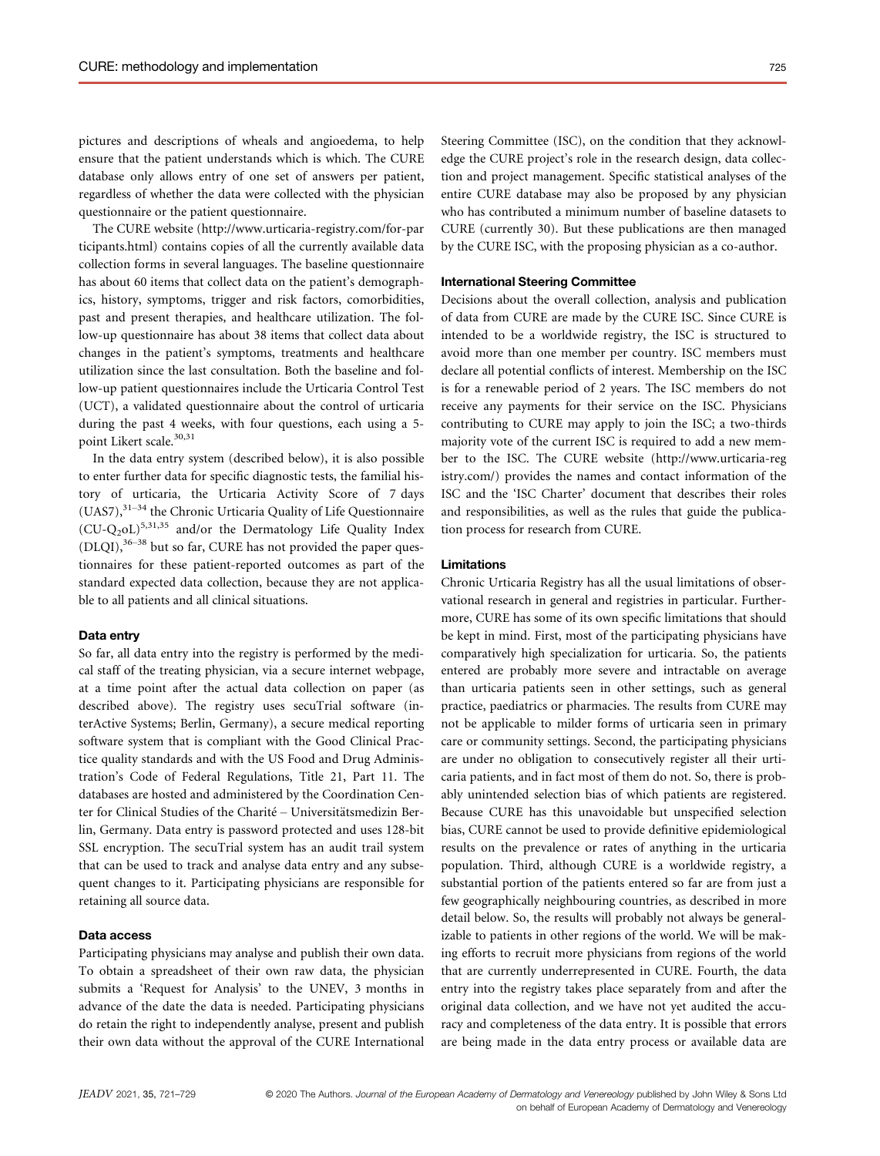pictures and descriptions of wheals and angioedema, to help ensure that the patient understands which is which. The CURE database only allows entry of one set of answers per patient, regardless of whether the data were collected with the physician questionnaire or the patient questionnaire.

The CURE website (http://www.urticaria-registry.com/for-par ticipants.html) contains copies of all the currently available data collection forms in several languages. The baseline questionnaire has about 60 items that collect data on the patient's demographics, history, symptoms, trigger and risk factors, comorbidities, past and present therapies, and healthcare utilization. The follow-up questionnaire has about 38 items that collect data about changes in the patient's symptoms, treatments and healthcare utilization since the last consultation. Both the baseline and follow-up patient questionnaires include the Urticaria Control Test (UCT), a validated questionnaire about the control of urticaria during the past 4 weeks, with four questions, each using a 5 point Likert scale.<sup>30,31</sup>

In the data entry system (described below), it is also possible to enter further data for specific diagnostic tests, the familial history of urticaria, the Urticaria Activity Score of 7 days (UAS7),31–<sup>34</sup> the Chronic Urticaria Quality of Life Questionnaire  $(CU-Q_2oL)^{5,31,35}$  and/or the Dermatology Life Quality Index  $(DLOI),$ <sup>36–38</sup> but so far, CURE has not provided the paper questionnaires for these patient-reported outcomes as part of the standard expected data collection, because they are not applicable to all patients and all clinical situations.

# Data entry

So far, all data entry into the registry is performed by the medical staff of the treating physician, via a secure internet webpage, at a time point after the actual data collection on paper (as described above). The registry uses secuTrial software (interActive Systems; Berlin, Germany), a secure medical reporting software system that is compliant with the Good Clinical Practice quality standards and with the US Food and Drug Administration's Code of Federal Regulations, Title 21, Part 11. The databases are hosted and administered by the Coordination Center for Clinical Studies of the Charité – Universitätsmedizin Berlin, Germany. Data entry is password protected and uses 128-bit SSL encryption. The secuTrial system has an audit trail system that can be used to track and analyse data entry and any subsequent changes to it. Participating physicians are responsible for retaining all source data.

## Data access

Participating physicians may analyse and publish their own data. To obtain a spreadsheet of their own raw data, the physician submits a 'Request for Analysis' to the UNEV, 3 months in advance of the date the data is needed. Participating physicians do retain the right to independently analyse, present and publish their own data without the approval of the CURE International

Steering Committee (ISC), on the condition that they acknowledge the CURE project's role in the research design, data collection and project management. Specific statistical analyses of the entire CURE database may also be proposed by any physician who has contributed a minimum number of baseline datasets to CURE (currently 30). But these publications are then managed by the CURE ISC, with the proposing physician as a co-author.

# International Steering Committee

Decisions about the overall collection, analysis and publication of data from CURE are made by the CURE ISC. Since CURE is intended to be a worldwide registry, the ISC is structured to avoid more than one member per country. ISC members must declare all potential conflicts of interest. Membership on the ISC is for a renewable period of 2 years. The ISC members do not receive any payments for their service on the ISC. Physicians contributing to CURE may apply to join the ISC; a two-thirds majority vote of the current ISC is required to add a new member to the ISC. The CURE website (http://www.urticaria-reg istry.com/) provides the names and contact information of the ISC and the 'ISC Charter' document that describes their roles and responsibilities, as well as the rules that guide the publication process for research from CURE.

#### Limitations

Chronic Urticaria Registry has all the usual limitations of observational research in general and registries in particular. Furthermore, CURE has some of its own specific limitations that should be kept in mind. First, most of the participating physicians have comparatively high specialization for urticaria. So, the patients entered are probably more severe and intractable on average than urticaria patients seen in other settings, such as general practice, paediatrics or pharmacies. The results from CURE may not be applicable to milder forms of urticaria seen in primary care or community settings. Second, the participating physicians are under no obligation to consecutively register all their urticaria patients, and in fact most of them do not. So, there is probably unintended selection bias of which patients are registered. Because CURE has this unavoidable but unspecified selection bias, CURE cannot be used to provide definitive epidemiological results on the prevalence or rates of anything in the urticaria population. Third, although CURE is a worldwide registry, a substantial portion of the patients entered so far are from just a few geographically neighbouring countries, as described in more detail below. So, the results will probably not always be generalizable to patients in other regions of the world. We will be making efforts to recruit more physicians from regions of the world that are currently underrepresented in CURE. Fourth, the data entry into the registry takes place separately from and after the original data collection, and we have not yet audited the accuracy and completeness of the data entry. It is possible that errors are being made in the data entry process or available data are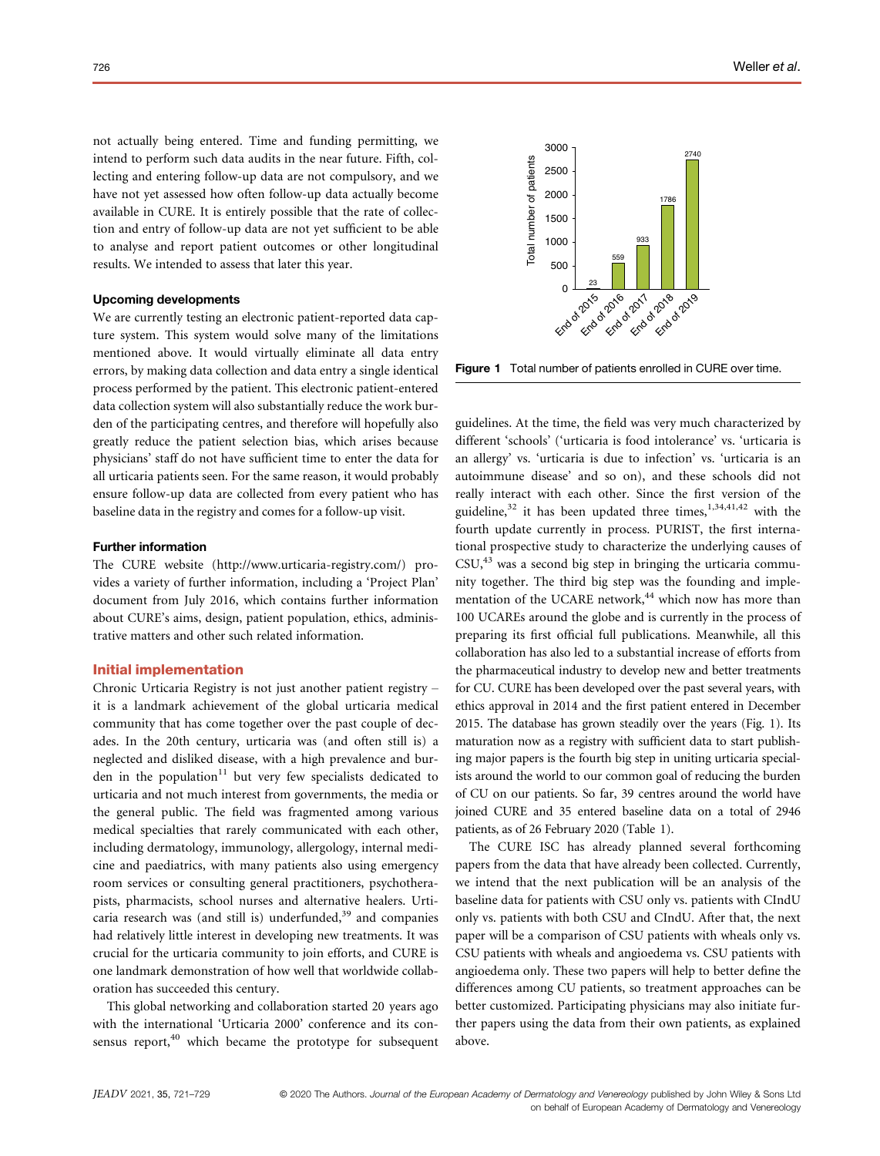not actually being entered. Time and funding permitting, we intend to perform such data audits in the near future. Fifth, collecting and entering follow-up data are not compulsory, and we have not yet assessed how often follow-up data actually become available in CURE. It is entirely possible that the rate of collection and entry of follow-up data are not yet sufficient to be able to analyse and report patient outcomes or other longitudinal results. We intended to assess that later this year.

## Upcoming developments

We are currently testing an electronic patient-reported data capture system. This system would solve many of the limitations mentioned above. It would virtually eliminate all data entry errors, by making data collection and data entry a single identical process performed by the patient. This electronic patient-entered data collection system will also substantially reduce the work burden of the participating centres, and therefore will hopefully also greatly reduce the patient selection bias, which arises because physicians' staff do not have sufficient time to enter the data for all urticaria patients seen. For the same reason, it would probably ensure follow-up data are collected from every patient who has baseline data in the registry and comes for a follow-up visit.

# Further information

The CURE website (http://www.urticaria-registry.com/) provides a variety of further information, including a 'Project Plan' document from July 2016, which contains further information about CURE's aims, design, patient population, ethics, administrative matters and other such related information.

# Initial implementation

Chronic Urticaria Registry is not just another patient registry – it is a landmark achievement of the global urticaria medical community that has come together over the past couple of decades. In the 20th century, urticaria was (and often still is) a neglected and disliked disease, with a high prevalence and burden in the population $11$  but very few specialists dedicated to urticaria and not much interest from governments, the media or the general public. The field was fragmented among various medical specialties that rarely communicated with each other, including dermatology, immunology, allergology, internal medicine and paediatrics, with many patients also using emergency room services or consulting general practitioners, psychotherapists, pharmacists, school nurses and alternative healers. Urticaria research was (and still is) underfunded,<sup>39</sup> and companies had relatively little interest in developing new treatments. It was crucial for the urticaria community to join efforts, and CURE is one landmark demonstration of how well that worldwide collaboration has succeeded this century.

This global networking and collaboration started 20 years ago with the international 'Urticaria 2000' conference and its consensus report, $40$  which became the prototype for subsequent



Figure 1 Total number of patients enrolled in CURE over time.

guidelines. At the time, the field was very much characterized by different 'schools' ('urticaria is food intolerance' vs. 'urticaria is an allergy' vs. 'urticaria is due to infection' vs. 'urticaria is an autoimmune disease' and so on), and these schools did not really interact with each other. Since the first version of the guideline, $32$  it has been updated three times,  $1,34,41,42$  with the fourth update currently in process. PURIST, the first international prospective study to characterize the underlying causes of  $CSU<sub>1</sub><sup>43</sup>$  was a second big step in bringing the urticaria community together. The third big step was the founding and implementation of the UCARE network,<sup>44</sup> which now has more than 100 UCAREs around the globe and is currently in the process of preparing its first official full publications. Meanwhile, all this collaboration has also led to a substantial increase of efforts from the pharmaceutical industry to develop new and better treatments for CU. CURE has been developed over the past several years, with ethics approval in 2014 and the first patient entered in December 2015. The database has grown steadily over the years (Fig. 1). Its maturation now as a registry with sufficient data to start publishing major papers is the fourth big step in uniting urticaria specialists around the world to our common goal of reducing the burden of CU on our patients. So far, 39 centres around the world have joined CURE and 35 entered baseline data on a total of 2946 patients, as of 26 February 2020 (Table 1).

The CURE ISC has already planned several forthcoming papers from the data that have already been collected. Currently, we intend that the next publication will be an analysis of the baseline data for patients with CSU only vs. patients with CIndU only vs. patients with both CSU and CIndU. After that, the next paper will be a comparison of CSU patients with wheals only vs. CSU patients with wheals and angioedema vs. CSU patients with angioedema only. These two papers will help to better define the differences among CU patients, so treatment approaches can be better customized. Participating physicians may also initiate further papers using the data from their own patients, as explained above.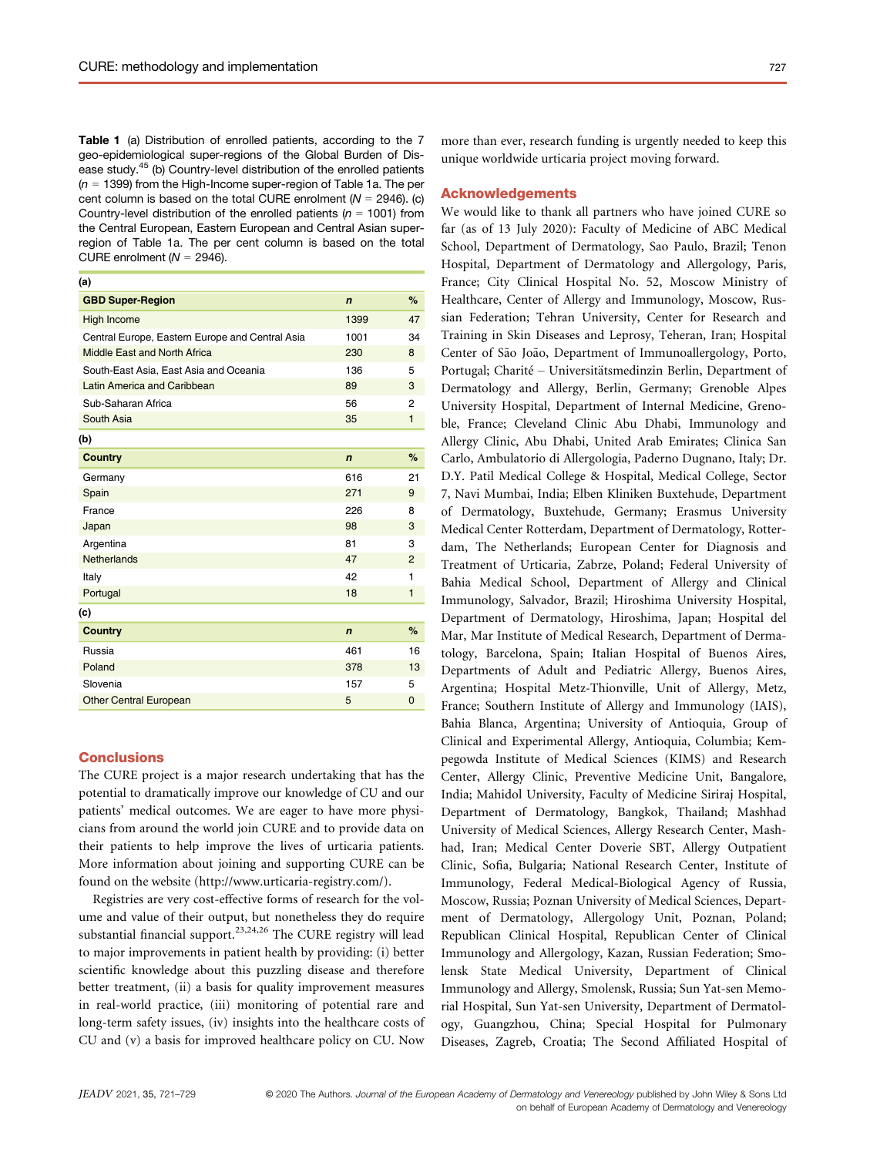Table 1 (a) Distribution of enrolled patients, according to the 7 geo-epidemiological super-regions of the Global Burden of Disease study.<sup>45</sup> (b) Country-level distribution of the enrolled patients  $(n = 1399)$  from the High-Income super-region of Table 1a. The per cent column is based on the total CURE enrolment ( $N = 2946$ ). (c) Country-level distribution of the enrolled patients ( $n = 1001$ ) from the Central European, Eastern European and Central Asian superregion of Table 1a. The per cent column is based on the total CURE enrolment ( $N = 2946$ ).

| (a)                                             |             |              |
|-------------------------------------------------|-------------|--------------|
| <b>GBD Super-Region</b>                         | $\mathbf n$ | %            |
| High Income                                     | 1399        | 47           |
| Central Europe, Eastern Europe and Central Asia | 1001        | 34           |
| Middle East and North Africa                    | 230         | 8            |
| South-East Asia, East Asia and Oceania          | 136         | 5            |
| Latin America and Caribbean                     | 89          | 3            |
| Sub-Saharan Africa                              | 56          | 2            |
| South Asia                                      | 35          | $\mathbf{1}$ |
| (b)                                             |             |              |
| <b>Country</b>                                  | $\mathbf n$ | %            |
| Germany                                         | 616         | 21           |
| Spain                                           | 271         | 9            |
| France                                          | 226         | 8            |
| Japan                                           | 98          | 3            |
| Argentina                                       | 81          | 3            |
| Netherlands                                     | 47          | 2            |
| Italy                                           | 42          | 1            |
| Portugal                                        | 18          | $\mathbf{1}$ |
| (c)                                             |             |              |
| <b>Country</b>                                  | $\mathbf n$ | %            |
| Russia                                          | 461         | 16           |
| Poland                                          | 378         | 13           |
| Slovenia                                        | 157         | 5            |
| <b>Other Central European</b>                   | 5           | 0            |
|                                                 |             |              |

## **Conclusions**

The CURE project is a major research undertaking that has the potential to dramatically improve our knowledge of CU and our patients' medical outcomes. We are eager to have more physicians from around the world join CURE and to provide data on their patients to help improve the lives of urticaria patients. More information about joining and supporting CURE can be found on the website (http://www.urticaria-registry.com/).

Registries are very cost-effective forms of research for the volume and value of their output, but nonetheless they do require substantial financial support.<sup>23,24,26</sup> The CURE registry will lead to major improvements in patient health by providing: (i) better scientific knowledge about this puzzling disease and therefore better treatment, (ii) a basis for quality improvement measures in real-world practice, (iii) monitoring of potential rare and long-term safety issues, (iv) insights into the healthcare costs of CU and (v) a basis for improved healthcare policy on CU. Now more than ever, research funding is urgently needed to keep this unique worldwide urticaria project moving forward.

# Acknowledgements

We would like to thank all partners who have joined CURE so far (as of 13 July 2020): Faculty of Medicine of ABC Medical School, Department of Dermatology, Sao Paulo, Brazil; Tenon Hospital, Department of Dermatology and Allergology, Paris, France; City Clinical Hospital No. 52, Moscow Ministry of Healthcare, Center of Allergy and Immunology, Moscow, Russian Federation; Tehran University, Center for Research and Training in Skin Diseases and Leprosy, Teheran, Iran; Hospital Center of São João, Department of Immunoallergology, Porto, Portugal; Charité – Universitätsmedinzin Berlin, Department of Dermatology and Allergy, Berlin, Germany; Grenoble Alpes University Hospital, Department of Internal Medicine, Grenoble, France; Cleveland Clinic Abu Dhabi, Immunology and Allergy Clinic, Abu Dhabi, United Arab Emirates; Clinica San Carlo, Ambulatorio di Allergologia, Paderno Dugnano, Italy; Dr. D.Y. Patil Medical College & Hospital, Medical College, Sector 7, Navi Mumbai, India; Elben Kliniken Buxtehude, Department of Dermatology, Buxtehude, Germany; Erasmus University Medical Center Rotterdam, Department of Dermatology, Rotterdam, The Netherlands; European Center for Diagnosis and Treatment of Urticaria, Zabrze, Poland; Federal University of Bahia Medical School, Department of Allergy and Clinical Immunology, Salvador, Brazil; Hiroshima University Hospital, Department of Dermatology, Hiroshima, Japan; Hospital del Mar, Mar Institute of Medical Research, Department of Dermatology, Barcelona, Spain; Italian Hospital of Buenos Aires, Departments of Adult and Pediatric Allergy, Buenos Aires, Argentina; Hospital Metz-Thionville, Unit of Allergy, Metz, France; Southern Institute of Allergy and Immunology (IAIS), Bahia Blanca, Argentina; University of Antioquia, Group of Clinical and Experimental Allergy, Antioquia, Columbia; Kempegowda Institute of Medical Sciences (KIMS) and Research Center, Allergy Clinic, Preventive Medicine Unit, Bangalore, India; Mahidol University, Faculty of Medicine Siriraj Hospital, Department of Dermatology, Bangkok, Thailand; Mashhad University of Medical Sciences, Allergy Research Center, Mashhad, Iran; Medical Center Doverie SBT, Allergy Outpatient Clinic, Sofia, Bulgaria; National Research Center, Institute of Immunology, Federal Medical-Biological Agency of Russia, Moscow, Russia; Poznan University of Medical Sciences, Department of Dermatology, Allergology Unit, Poznan, Poland; Republican Clinical Hospital, Republican Center of Clinical Immunology and Allergology, Kazan, Russian Federation; Smolensk State Medical University, Department of Clinical Immunology and Allergy, Smolensk, Russia; Sun Yat-sen Memorial Hospital, Sun Yat-sen University, Department of Dermatology, Guangzhou, China; Special Hospital for Pulmonary Diseases, Zagreb, Croatia; The Second Affiliated Hospital of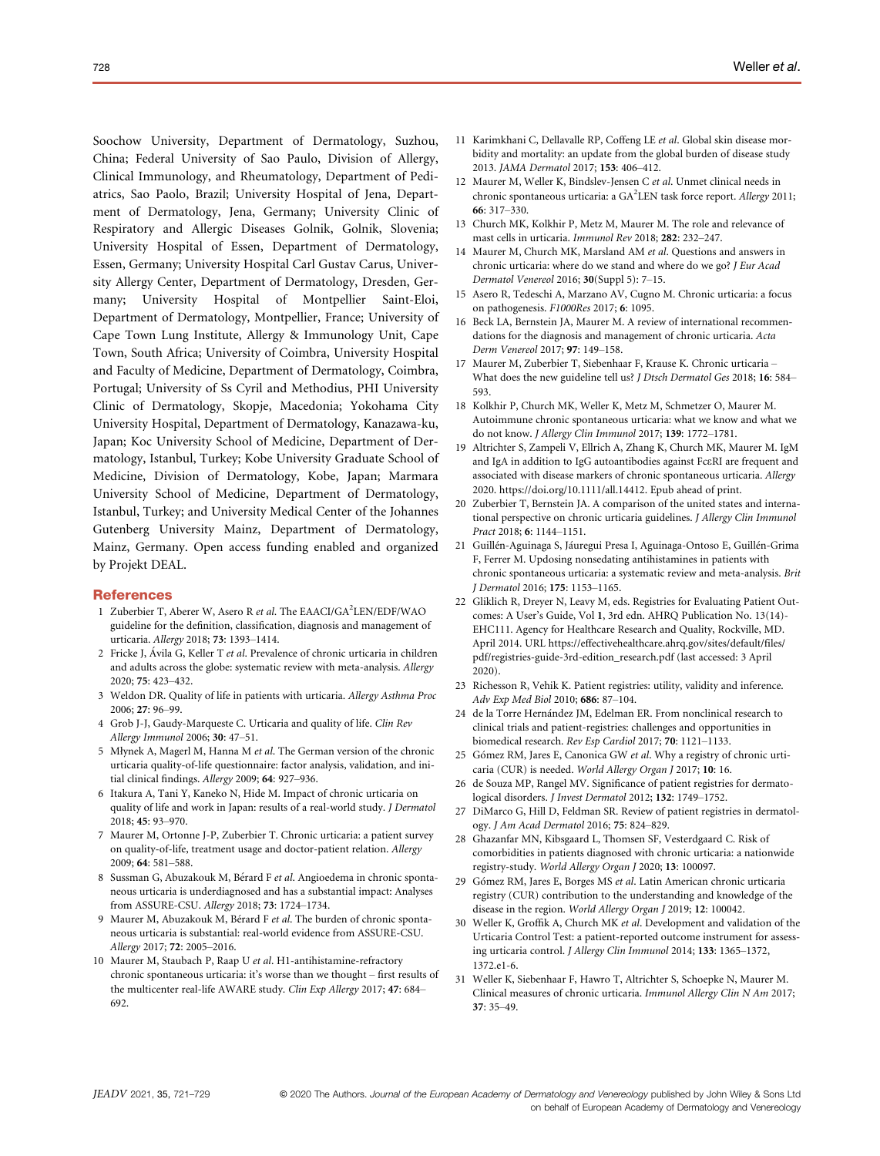Soochow University, Department of Dermatology, Suzhou, China; Federal University of Sao Paulo, Division of Allergy, Clinical Immunology, and Rheumatology, Department of Pediatrics, Sao Paolo, Brazil; University Hospital of Jena, Department of Dermatology, Jena, Germany; University Clinic of Respiratory and Allergic Diseases Golnik, Golnik, Slovenia; University Hospital of Essen, Department of Dermatology, Essen, Germany; University Hospital Carl Gustav Carus, University Allergy Center, Department of Dermatology, Dresden, Germany; University Hospital of Montpellier Saint-Eloi, Department of Dermatology, Montpellier, France; University of Cape Town Lung Institute, Allergy & Immunology Unit, Cape Town, South Africa; University of Coimbra, University Hospital and Faculty of Medicine, Department of Dermatology, Coimbra, Portugal; University of Ss Cyril and Methodius, PHI University Clinic of Dermatology, Skopje, Macedonia; Yokohama City University Hospital, Department of Dermatology, Kanazawa-ku, Japan; Koc University School of Medicine, Department of Dermatology, Istanbul, Turkey; Kobe University Graduate School of Medicine, Division of Dermatology, Kobe, Japan; Marmara University School of Medicine, Department of Dermatology, Istanbul, Turkey; and University Medical Center of the Johannes Gutenberg University Mainz, Department of Dermatology, Mainz, Germany. Open access funding enabled and organized by Projekt DEAL.

#### **References**

- 1 Zuberbier T, Aberer W, Asero R et al. The EAACI/GA<sup>2</sup>LEN/EDF/WAO guideline for the definition, classification, diagnosis and management of urticaria. Allergy 2018; 73: 1393–1414.
- 2 Fricke J, Ávila G, Keller T et al. Prevalence of chronic urticaria in children and adults across the globe: systematic review with meta-analysis. Allergy 2020; 75: 423–432.
- 3 Weldon DR. Quality of life in patients with urticaria. Allergy Asthma Proc 2006; 27: 96–99.
- 4 Grob J-J, Gaudy-Marqueste C. Urticaria and quality of life. Clin Rev Allergy Immunol 2006; 30: 47–51.
- 5 Młynek A, Magerl M, Hanna M et al. The German version of the chronic urticaria quality-of-life questionnaire: factor analysis, validation, and initial clinical findings. Allergy 2009; 64: 927–936.
- 6 Itakura A, Tani Y, Kaneko N, Hide M. Impact of chronic urticaria on quality of life and work in Japan: results of a real-world study. J Dermatol 2018; 45: 93–970.
- 7 Maurer M, Ortonne J-P, Zuberbier T. Chronic urticaria: a patient survey on quality-of-life, treatment usage and doctor-patient relation. Allergy 2009; 64: 581–588.
- 8 Sussman G, Abuzakouk M, Bérard F et al. Angioedema in chronic spontaneous urticaria is underdiagnosed and has a substantial impact: Analyses from ASSURE-CSU. Allergy 2018; 73: 1724–1734.
- 9 Maurer M, Abuzakouk M, Bérard F et al. The burden of chronic spontaneous urticaria is substantial: real-world evidence from ASSURE-CSU. Allergy 2017; 72: 2005–2016.
- 10 Maurer M, Staubach P, Raap U et al. H1-antihistamine-refractory chronic spontaneous urticaria: it's worse than we thought – first results of the multicenter real-life AWARE study. Clin Exp Allergy 2017; 47: 684– 692.
- 11 Karimkhani C, Dellavalle RP, Coffeng LE et al. Global skin disease morbidity and mortality: an update from the global burden of disease study 2013. JAMA Dermatol 2017; 153: 406–412.
- 12 Maurer M, Weller K, Bindslev-Jensen C et al. Unmet clinical needs in chronic spontaneous urticaria: a GA<sup>2</sup>LEN task force report. Allergy 2011; 66: 317–330.
- 13 Church MK, Kolkhir P, Metz M, Maurer M. The role and relevance of mast cells in urticaria. Immunol Rev 2018; 282: 232–247.
- 14 Maurer M, Church MK, Marsland AM et al. Questions and answers in chronic urticaria: where do we stand and where do we go? J Eur Acad Dermatol Venereol 2016; 30(Suppl 5): 7–15.
- 15 Asero R, Tedeschi A, Marzano AV, Cugno M. Chronic urticaria: a focus on pathogenesis. F1000Res 2017; 6: 1095.
- 16 Beck LA, Bernstein JA, Maurer M. A review of international recommendations for the diagnosis and management of chronic urticaria. Acta Derm Venereol 2017; 97: 149–158.
- 17 Maurer M, Zuberbier T, Siebenhaar F, Krause K. Chronic urticaria What does the new guideline tell us? *J Dtsch Dermatol Ges* 2018; 16: 584– 593.
- 18 Kolkhir P, Church MK, Weller K, Metz M, Schmetzer O, Maurer M. Autoimmune chronic spontaneous urticaria: what we know and what we do not know. J Allergy Clin Immunol 2017; 139: 1772–1781.
- 19 Altrichter S, Zampeli V, Ellrich A, Zhang K, Church MK, Maurer M. IgM and IgA in addition to IgG autoantibodies against FceRI are frequent and associated with disease markers of chronic spontaneous urticaria. Allergy 2020. https://doi.org/10.1111/all.14412. Epub ahead of print.
- 20 Zuberbier T, Bernstein JA. A comparison of the united states and international perspective on chronic urticaria guidelines. J Allergy Clin Immunol Pract 2018; 6: 1144–1151.
- 21 Guillén-Aguinaga S, Jáuregui Presa I, Aguinaga-Ontoso E, Guillén-Grima F, Ferrer M. Updosing nonsedating antihistamines in patients with chronic spontaneous urticaria: a systematic review and meta-analysis. Brit J Dermatol 2016; 175: 1153–1165.
- 22 Gliklich R, Dreyer N, Leavy M, eds. Registries for Evaluating Patient Outcomes: A User's Guide, Vol 1, 3rd edn. AHRQ Publication No. 13(14)- EHC111. Agency for Healthcare Research and Quality, Rockville, MD. April 2014. URL https://effectivehealthcare.ahrq.gov/sites/default/files/ pdf/registries-guide-3rd-edition\_research.pdf (last accessed: 3 April 2020).
- 23 Richesson R, Vehik K. Patient registries: utility, validity and inference. Adv Exp Med Biol 2010; 686: 87–104.
- 24 de la Torre Hernández JM, Edelman ER. From nonclinical research to clinical trials and patient-registries: challenges and opportunities in biomedical research. Rev Esp Cardiol 2017; 70: 1121–1133.
- 25 Gómez RM, Jares E, Canonica GW et al. Why a registry of chronic urticaria (CUR) is needed. World Allergy Organ J 2017; 10: 16.
- 26 de Souza MP, Rangel MV. Significance of patient registries for dermatological disorders. J Invest Dermatol 2012; 132: 1749–1752.
- 27 DiMarco G, Hill D, Feldman SR. Review of patient registries in dermatology. J Am Acad Dermatol 2016; 75: 824–829.
- 28 Ghazanfar MN, Kibsgaard L, Thomsen SF, Vesterdgaard C. Risk of comorbidities in patients diagnosed with chronic urticaria: a nationwide registry-study. World Allergy Organ J 2020; 13: 100097.
- 29 Gómez RM, Jares E, Borges MS et al. Latin American chronic urticaria registry (CUR) contribution to the understanding and knowledge of the disease in the region. World Allergy Organ J 2019; 12: 100042.
- 30 Weller K, Groffik A, Church MK et al. Development and validation of the Urticaria Control Test: a patient-reported outcome instrument for assessing urticaria control. J Allergy Clin Immunol 2014; 133: 1365–1372, 1372.e1-6.
- 31 Weller K, Siebenhaar F, Hawro T, Altrichter S, Schoepke N, Maurer M. Clinical measures of chronic urticaria. Immunol Allergy Clin N Am 2017; 37: 35–49.